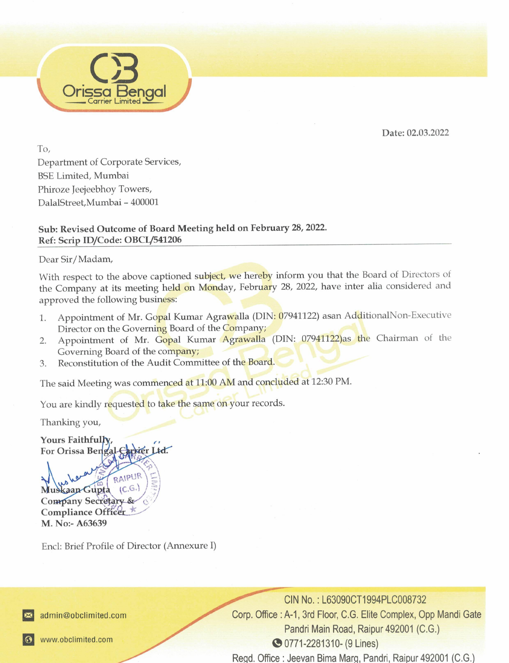Date: 02.03.2022

To, Department of Corporate Services, BSE Limited, Mumbai Phiroze Jeejeebhoy Towers, DalalStreet, Mumbai - 400001

sengal

## Sub: Revised Outcome of Board Meeting held on February 28, 2022. Ref: Scrip ID/Code: OBCL/541206

Dear Sir/Madam,

Box Linucia, Willindia<br>
Phiroze Jeejeebhoy Towers,<br>
DalaStreet,Mumbai – 400001<br>
Sub: Revised Outcome of Board Meeting held of<br>
Ref: Scrip ID/Code: OBCL/541206<br>
Dear Sir/Madam,<br>
With respect to the above captioned subject. the Company at its meeting held on Monday, February 28, 2022, have inter alia considered and approved the following business: With respect to the above captioned subject, we hereby inform you that the Board of Directors of approved the following business: Box Linucia, Willindia<br>
Phiroze Jeejeebhoy Towers,<br>
DalaStreet,Mumbai – 400001<br>
Sub: Revised Outcome of Board Meeting held of<br>
Ref: Scrip ID/Code: OBCL/541206<br>
Dear Sir/Madam,<br>
With respect to the above captioned subject.

- 1. Appointment of Mr. Gopal Kumar Agrawalla (DIN: 07941122) asan AdditionalNon-Executive Director on the Governing Board of the Company;
- 2. Appointment of Mr. Gopal Kumar Agrawalla (DIN: 07941122)as the Chairman of the Governing Board of the company;
- 3. Reconstitution of the Audit Committee of the Board.

The said Meeting was commenced at 11:00 AM and concluded at 12:30 PM.

You are kindly requested to take the same on your records.

Thanking you,

Yours Faithfully For Orissa Bengal Carrier Ltd.

Company Secretary & M. No:- A63639

Encl: Brief Profile of Director (Annexure 1)

 Pandri Main Road, Raipur 492001 (C.G.)<br>
© 0771-2281310- (9 Lines)<br>
Regd. Office : Jeevan Bima Marg, Pandri, Raipur 492001 (C.G.) N No. : L63090CT19<br>1, 3rd Floor, C.G. Elit<br>indri Main Road, Raip<br>71-2281310- (9 Lines<br>eevan Bima Marg, Pa Pandri Main Road, Raipur 492001 (C.G.) @ 0771-2281310- (9 Lines)